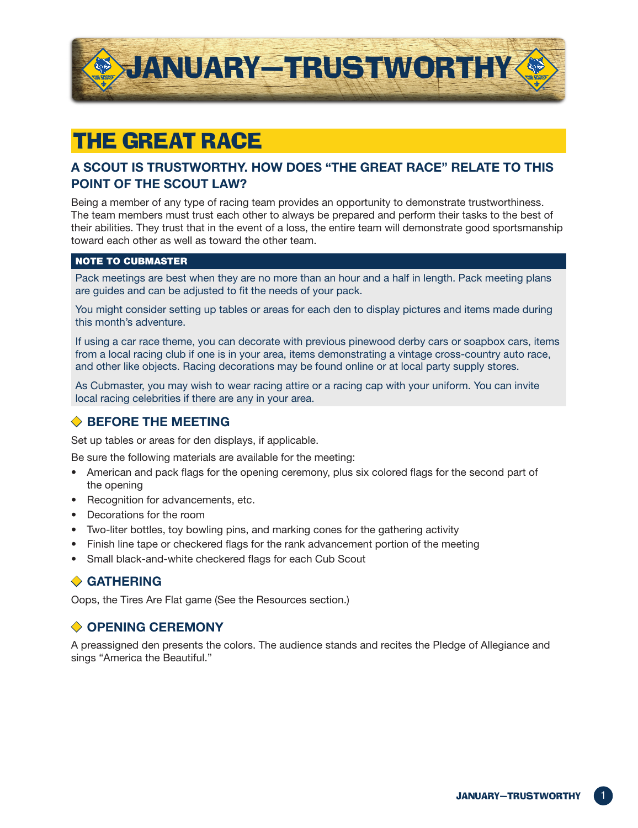

## The Great Race

#### **A Scout Is Trustworthy. How Does "The Great Race" Relate to This Point of the Scout Law?**

Being a member of any type of racing team provides an opportunity to demonstrate trustworthiness. The team members must trust each other to always be prepared and perform their tasks to the best of their abilities. They trust that in the event of a loss, the entire team will demonstrate good sportsmanship toward each other as well as toward the other team.

#### NOTE TO cubmaster

Pack meetings are best when they are no more than an hour and a half in length. Pack meeting plans are guides and can be adjusted to fit the needs of your pack.

You might consider setting up tables or areas for each den to display pictures and items made during this month's adventure.

If using a car race theme, you can decorate with previous pinewood derby cars or soapbox cars, items from a local racing club if one is in your area, items demonstrating a vintage cross-country auto race, and other like objects. Racing decorations may be found online or at local party supply stores.

As Cubmaster, you may wish to wear racing attire or a racing cap with your uniform. You can invite local racing celebrities if there are any in your area.

#### ◆ **Before the Meeting**

Set up tables or areas for den displays, if applicable.

Be sure the following materials are available for the meeting:

- American and pack flags for the opening ceremony, plus six colored flags for the second part of the opening
- Recognition for advancements, etc.
- Decorations for the room
- Two-liter bottles, toy bowling pins, and marking cones for the gathering activity
- Finish line tape or checkered flags for the rank advancement portion of the meeting
- Small black-and-white checkered flags for each Cub Scout

#### ◆ **Gathering**

Oops, the Tires Are Flat game (See the Resources section.)

#### ◆ **Opening Ceremony**

A preassigned den presents the colors. The audience stands and recites the Pledge of Allegiance and sings "America the Beautiful."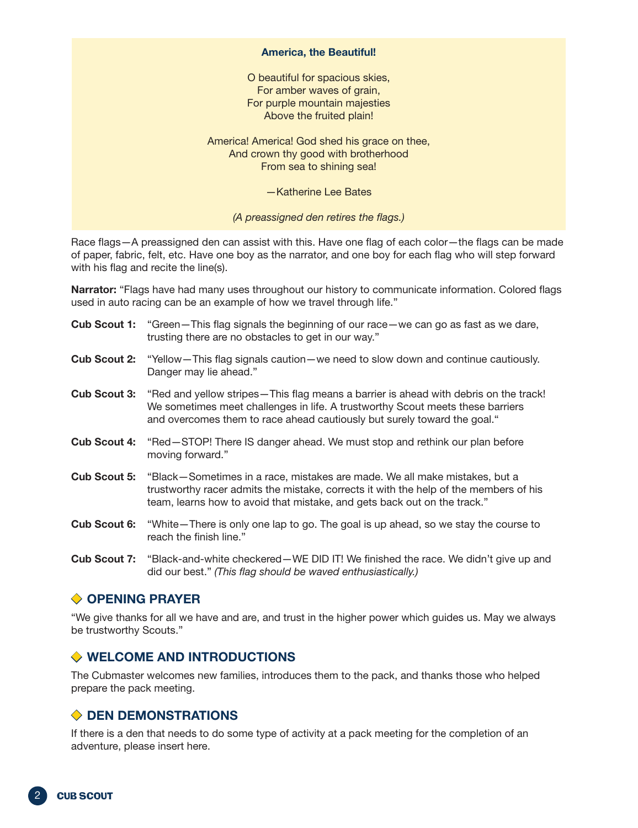#### **America, the Beautiful!**

O beautiful for spacious skies, For amber waves of grain, For purple mountain majesties Above the fruited plain!

America! America! God shed his grace on thee, And crown thy good with brotherhood From sea to shining sea!

—Katherine Lee Bates

*(A preassigned den retires the flags.)*

Race flags—A preassigned den can assist with this. Have one flag of each color—the flags can be made of paper, fabric, felt, etc. Have one boy as the narrator, and one boy for each flag who will step forward with his flag and recite the line(s).

**Narrator:** "Flags have had many uses throughout our history to communicate information. Colored flags used in auto racing can be an example of how we travel through life."

|                     | <b>Cub Scout 1:</b> "Green-This flag signals the beginning of our race-we can go as fast as we dare,<br>trusting there are no obstacles to get in our way."                                                                                                            |
|---------------------|------------------------------------------------------------------------------------------------------------------------------------------------------------------------------------------------------------------------------------------------------------------------|
|                     | <b>Cub Scout 2:</b> "Yellow-This flag signals caution-we need to slow down and continue cautiously.<br>Danger may lie ahead."                                                                                                                                          |
|                     | <b>Cub Scout 3:</b> "Red and yellow stripes—This flag means a barrier is ahead with debris on the track!<br>We sometimes meet challenges in life. A trustworthy Scout meets these barriers<br>and overcomes them to race ahead cautiously but surely toward the goal." |
| <b>Cub Scout 4:</b> | "Red-STOP! There IS danger ahead. We must stop and rethink our plan before<br>moving forward."                                                                                                                                                                         |
| <b>Cub Scout 5:</b> | "Black-Sometimes in a race, mistakes are made. We all make mistakes, but a<br>trustworthy racer admits the mistake, corrects it with the help of the members of his<br>team, learns how to avoid that mistake, and gets back out on the track."                        |
| <b>Cub Scout 6:</b> | "White – There is only one lap to go. The goal is up ahead, so we stay the course to<br>reach the finish line."                                                                                                                                                        |
|                     | Cub Scout $7$ : "Black-and-white checkered $\equiv$ WE DID ITI We finished the race We didn't give up and                                                                                                                                                              |

white checkered—WE DID IT! We finished the race. we didn't give up and did our best." *(This flag should be waved enthusiastically.)*

#### **◆ OPENING PRAYER**

"We give thanks for all we have and are, and trust in the higher power which guides us. May we always be trustworthy Scouts."

#### ◆ **Welcome and Introductions**

The Cubmaster welcomes new families, introduces them to the pack, and thanks those who helped prepare the pack meeting.

#### ◆ **Den Demonstrations**

If there is a den that needs to do some type of activity at a pack meeting for the completion of an adventure, please insert here.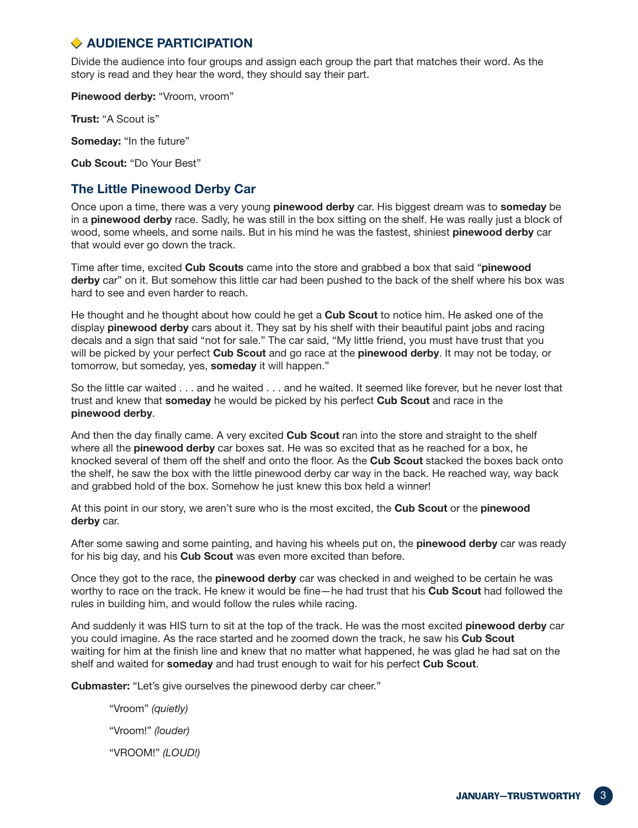#### ◆ **Audience Participation**

Divide the audience into four groups and assign each group the part that matches their word. As the story is read and they hear the word, they should say their part.

**Pinewood derby:** "Vroom, vroom"

**Trust:** "A Scout is"

**Someday:** "In the future"

**Cub Scout:** "Do Your Best"

#### **The Little Pinewood Derby Car**

Once upon a time, there was a very young **pinewood derby** car. His biggest dream was to **someday** be in a **pinewood derby** race. Sadly, he was still in the box sitting on the shelf. He was really just a block of wood, some wheels, and some nails. But in his mind he was the fastest, shiniest **pinewood derby** car that would ever go down the track.

Time after time, excited **Cub Scouts** came into the store and grabbed a box that said "**pinewood derby** car" on it. But somehow this little car had been pushed to the back of the shelf where his box was hard to see and even harder to reach.

He thought and he thought about how could he get a **Cub Scout** to notice him. He asked one of the display **pinewood derby** cars about it. They sat by his shelf with their beautiful paint jobs and racing decals and a sign that said "not for sale." The car said, "My little friend, you must have trust that you will be picked by your perfect **Cub Scout** and go race at the **pinewood derby**. It may not be today, or tomorrow, but someday, yes, **someday** it will happen."

So the little car waited . . . and he waited . . . and he waited. It seemed like forever, but he never lost that trust and knew that **someday** he would be picked by his perfect **Cub Scout** and race in the **pinewood derby**.

And then the day finally came. A very excited **Cub Scout** ran into the store and straight to the shelf where all the **pinewood derby** car boxes sat. He was so excited that as he reached for a box, he knocked several of them off the shelf and onto the floor. As the **Cub Scout** stacked the boxes back onto the shelf, he saw the box with the little pinewood derby car way in the back. He reached way, way back and grabbed hold of the box. Somehow he just knew this box held a winner!

At this point in our story, we aren't sure who is the most excited, the **Cub Scout** or the **pinewood derby** car.

After some sawing and some painting, and having his wheels put on, the **pinewood derby** car was ready for his big day, and his **Cub Scout** was even more excited than before.

Once they got to the race, the **pinewood derby** car was checked in and weighed to be certain he was worthy to race on the track. He knew it would be fine—he had trust that his **Cub Scout** had followed the rules in building him, and would follow the rules while racing.

And suddenly it was HIS turn to sit at the top of the track. He was the most excited **pinewood derby** car you could imagine. As the race started and he zoomed down the track, he saw his **Cub Scout** waiting for him at the finish line and knew that no matter what happened, he was glad he had sat on the shelf and waited for **someday** and had trust enough to wait for his perfect **Cub Scout**.

**Cubmaster:** "Let's give ourselves the pinewood derby car cheer."

"Vroom" *(quietly)* "Vroom!" *(louder)* "VROOM!" *(LOUD!)*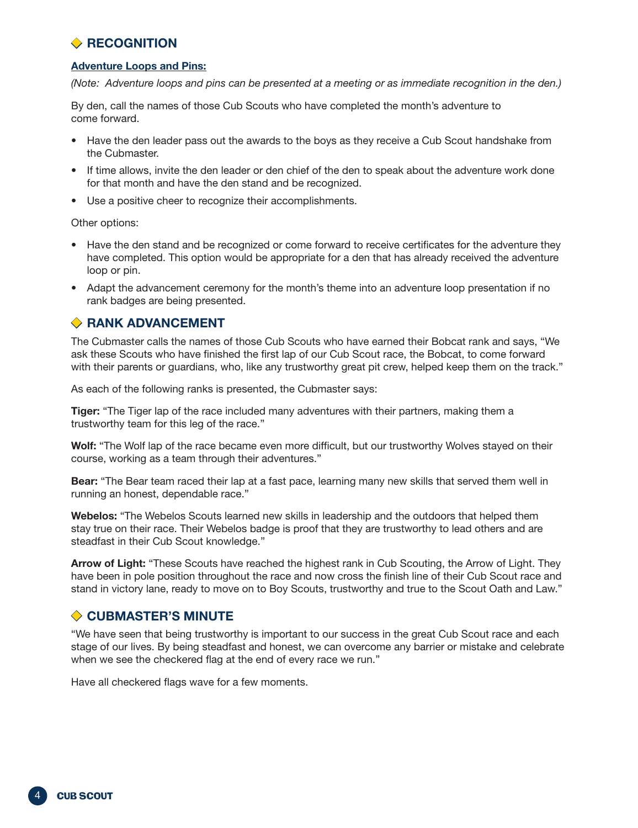### **◆ RECOGNITION**

#### **Adventure Loops and Pins:**

*(Note: Adventure loops and pins can be presented at a meeting or as immediate recognition in the den.)*

By den, call the names of those Cub Scouts who have completed the month's adventure to come forward.

- Have the den leader pass out the awards to the boys as they receive a Cub Scout handshake from the Cubmaster.
- If time allows, invite the den leader or den chief of the den to speak about the adventure work done for that month and have the den stand and be recognized.
- Use a positive cheer to recognize their accomplishments.

Other options:

- Have the den stand and be recognized or come forward to receive certificates for the adventure they have completed. This option would be appropriate for a den that has already received the adventure loop or pin.
- Adapt the advancement ceremony for the month's theme into an adventure loop presentation if no rank badges are being presented.

#### ◆ **Rank advancement**

The Cubmaster calls the names of those Cub Scouts who have earned their Bobcat rank and says, "We ask these Scouts who have finished the first lap of our Cub Scout race, the Bobcat, to come forward with their parents or guardians, who, like any trustworthy great pit crew, helped keep them on the track."

As each of the following ranks is presented, the Cubmaster says:

**Tiger:** "The Tiger lap of the race included many adventures with their partners, making them a trustworthy team for this leg of the race."

**Wolf:** "The Wolf lap of the race became even more difficult, but our trustworthy Wolves stayed on their course, working as a team through their adventures."

**Bear:** "The Bear team raced their lap at a fast pace, learning many new skills that served them well in running an honest, dependable race."

**Webelos:** "The Webelos Scouts learned new skills in leadership and the outdoors that helped them stay true on their race. Their Webelos badge is proof that they are trustworthy to lead others and are steadfast in their Cub Scout knowledge."

**Arrow of Light:** "These Scouts have reached the highest rank in Cub Scouting, the Arrow of Light. They have been in pole position throughout the race and now cross the finish line of their Cub Scout race and stand in victory lane, ready to move on to Boy Scouts, trustworthy and true to the Scout Oath and Law."

#### ◆ **Cubmaster'S Minute**

"We have seen that being trustworthy is important to our success in the great Cub Scout race and each stage of our lives. By being steadfast and honest, we can overcome any barrier or mistake and celebrate when we see the checkered flag at the end of every race we run."

Have all checkered flags wave for a few moments.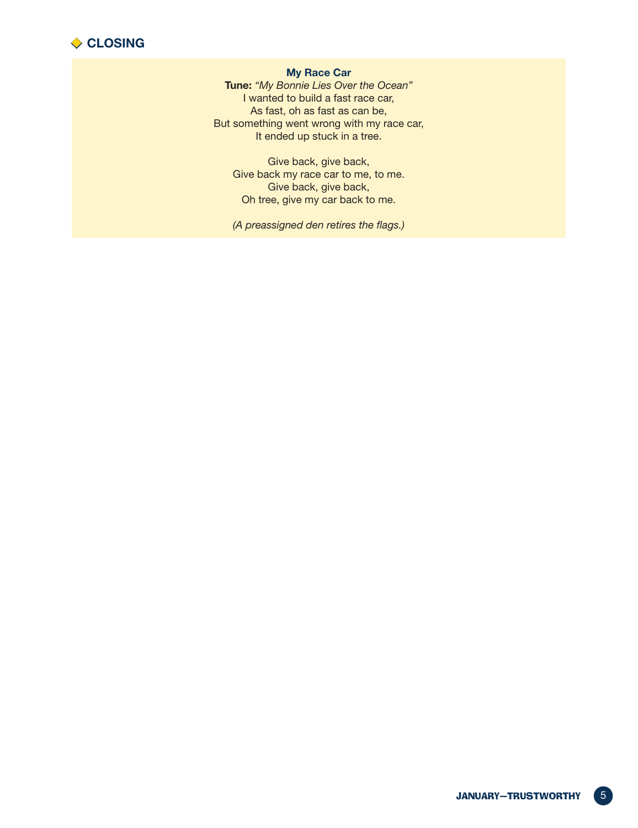

#### **My Race Car**

**Tune:** *"My Bonnie Lies Over the Ocean"* I wanted to build a fast race car, As fast, oh as fast as can be, But something went wrong with my race car, It ended up stuck in a tree.

Give back, give back, Give back my race car to me, to me. Give back, give back, Oh tree, give my car back to me.

*(A preassigned den retires the flags.)*